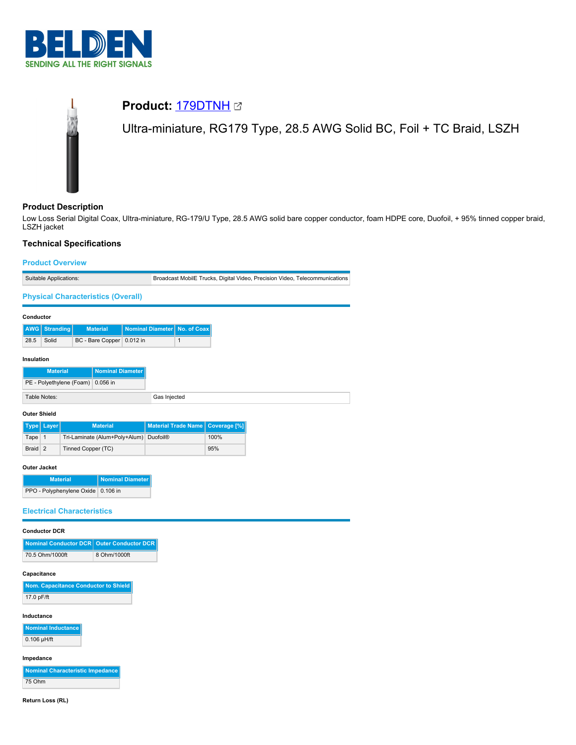



# **Product Description**

Low Loss Serial Digital Coax, Ultra-miniature, RG-179/U Type, 28.5 AWG solid bare copper conductor, foam HDPE core, Duofoil, + 95% tinned copper braid, LSZH jacket

### **Technical Specifications**

# **Product Overview** Suitable Applications: Broadcast MobilE Trucks, Digital Video, Precision Video, Telecommunications **Physical Characteristics (Overall) Conductor AWG Stranding Material Nominal Diameter No. of Coax** 28.5 Solid BC - Bare Copper 0.012 in 1 **Insulation Material Nominal Diameter** PE - Polyethylene (Foam) 0.056 in Table Notes: Gas Injected

### **Outer Shield**

|         | Type   Layer | <b>Material</b>                        | Material Trade Name   Coverage [%] |      |
|---------|--------------|----------------------------------------|------------------------------------|------|
| Tape 1  |              | Tri-Laminate (Alum+Poly+Alum) Duofoil® |                                    | 100% |
| Braid 2 |              | Tinned Copper (TC)                     |                                    | 95%  |

#### **Outer Jacket**

| <b>Material</b>                    | Nominal Diameter |
|------------------------------------|------------------|
| PPO - Polyphenylene Oxide 0.106 in |                  |

#### **Electrical Characteristics**

#### **Conductor DCR**

| Nominal Conductor DCR   Outer Conductor DCR |              |
|---------------------------------------------|--------------|
| 70.5 Ohm/1000ft                             | 8 Ohm/1000ft |

### **Capacitance**

| Nom. Capacitance Conductor to Shield |
|--------------------------------------|
| 17.0 pF/ft                           |

#### **Inductance**

**Nominal Inducta**  $0.106$  µH/ft

#### **Impedance**

**Nominal Characteristic Impedance** 75 Ohm

**Return Loss (RL)**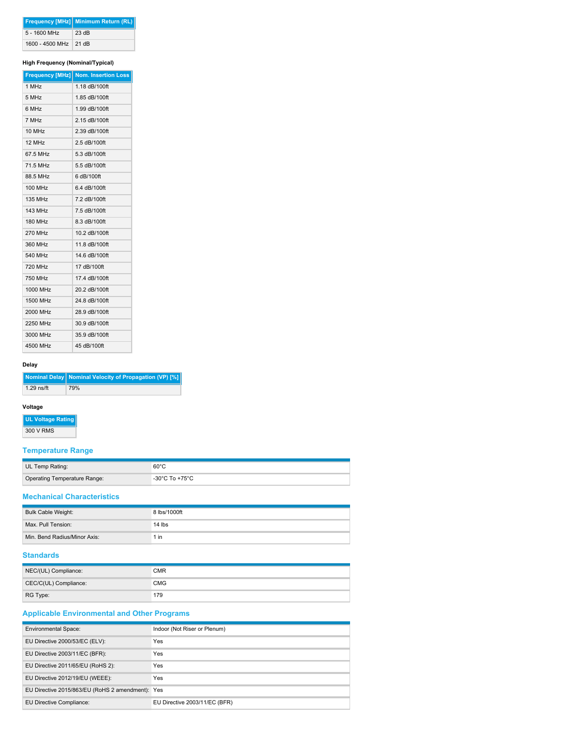|                       | <b>Frequency [MHz] Minimum Return (RL)</b> |
|-----------------------|--------------------------------------------|
| $5 - 1600$ MHz        | 23 dB                                      |
| 1600 - 4500 MHz 21 dB |                                            |

### **High Frequency (Nominal/Typical)**

|                | Frequency [MHz] Nom. Insertion Loss |
|----------------|-------------------------------------|
| 1 MHz          | 1.18 dB/100ft                       |
| 5 MHz          | 1.85 dB/100ft                       |
| 6 MHz          | 1.99 dB/100ft                       |
| 7 MHz          | 2.15 dB/100ft                       |
| 10 MHz         | 2.39 dB/100ft                       |
| 12 MHz         | 2.5 dB/100ft                        |
| 67.5 MHz       | 5.3 dB/100ft                        |
| 71.5 MHz       | 5.5 dB/100ft                        |
| 88.5 MHz       | 6 dB/100ft                          |
| 100 MHz        | 6.4 dB/100ft                        |
| <b>135 MHz</b> | 7.2 dB/100ft                        |
| <b>143 MHz</b> | 7.5 dB/100ft                        |
| <b>180 MHz</b> | 8.3 dB/100ft                        |
| <b>270 MHz</b> | 10.2 dB/100ft                       |
| 360 MHz        | 11.8 dB/100ft                       |
| 540 MHz        | 14.6 dB/100ft                       |
| <b>720 MHz</b> | 17 dB/100ft                         |
| 750 MHz        | 17.4 dB/100ft                       |
| 1000 MHz       | 20.2 dB/100ft                       |
| 1500 MHz       | 24.8 dB/100ft                       |
| 2000 MHz       | 28.9 dB/100ft                       |
| 2250 MHz       | 30.9 dB/100ft                       |
| 3000 MHz       | 35.9 dB/100ft                       |
| 4500 MHz       | 45 dB/100ft                         |

#### **Delay**

|              | Nominal Delay   Nominal Velocity of Propagation (VP) [%] |
|--------------|----------------------------------------------------------|
| $1.29$ ns/ft | 79%                                                      |

#### **Voltage**

**UL Voltage Rating** 300 V RMS

# **Temperature Range**

| UL Temp Rating:              | $60^{\circ}$ C |
|------------------------------|----------------|
| Operating Temperature Range: | -30°C To +75°C |

### **Mechanical Characteristics**

| Bulk Cable Weight:           | 8 lbs/1000ft |
|------------------------------|--------------|
| Max. Pull Tension:           | $14$ lbs     |
| Min. Bend Radius/Minor Axis: | 1 in         |

# **Standards**

| NEC/(UL) Compliance:  | <b>CMR</b> |
|-----------------------|------------|
| CEC/C(UL) Compliance: | <b>CMG</b> |
| RG Type:              | 179        |

# **Applicable Environmental and Other Programs**

| <b>Environmental Space:</b>                      | Indoor (Not Riser or Plenum)  |
|--------------------------------------------------|-------------------------------|
| EU Directive 2000/53/EC (ELV):                   | Yes                           |
| EU Directive 2003/11/EC (BFR):                   | Yes                           |
| EU Directive 2011/65/EU (RoHS 2):                | Yes                           |
| EU Directive 2012/19/EU (WEEE):                  | Yes                           |
| EU Directive 2015/863/EU (RoHS 2 amendment): Yes |                               |
| EU Directive Compliance:                         | EU Directive 2003/11/EC (BFR) |